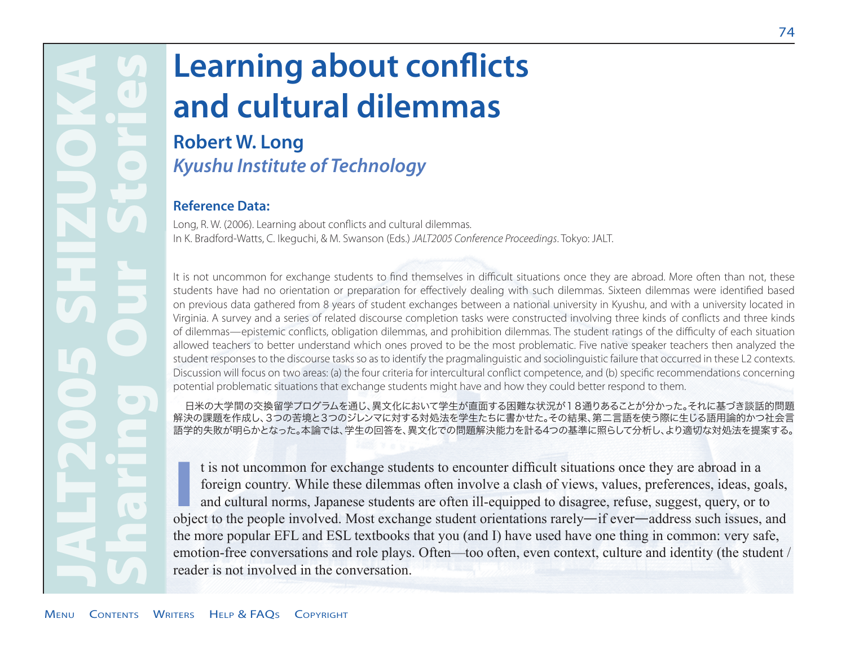# JALT2005 SHIZUOKA Sharing Our Stories  $\blacksquare$  $\blacksquare$  $\bullet$ **CO**

## **Learning about conflicts and cultural dilemmas**

## **Robert W. Long**  *Kyushu Institute of Technology*

#### **Reference Data:**

Long, R. W. (2006). Learning about conflicts and cultural dilemmas. In K. Bradford-Watts, C. Ikeguchi, & M. Swanson (Eds.) *JALT2005 Conference Proceedings*. Tokyo: JALT.

It is not uncommon for exchange students to find themselves in difficult situations once they are abroad. More often than not, these students have had no orientation or preparation for effectively dealing with such dilemmas. Sixteen dilemmas were identified based on previous data gathered from 8 years of student exchanges between a national university in Kyushu, and with a university located in Virginia. A survey and a series of related discourse completion tasks were constructed involving three kinds of conflicts and three kinds of dilemmas—epistemic conflicts, obligation dilemmas, and prohibition dilemmas. The student ratings of the difficulty of each situation allowed teachers to better understand which ones proved to be the most problematic. Five native speaker teachers then analyzed the student responses to the discourse tasks so as to identify the pragmalinguistic and sociolinguistic failure that occurred in these L2 contexts. Discussion will focus on two areas: (a) the four criteria for intercultural conflict competence, and (b) specific recommendations concerning potential problematic situations that exchange students might have and how they could better respond to them.

日米の大学間の交換留学プログラムを通じ、異文化において学生が直面する困難な状況が18通りあることが分かった。それに基づき談話的問題 解決の課題を作成し、3つの苦境と3つのジレンマに対する対処法を学生たちに書かせた。その結果、第二言語を使う際に生じる語用論的かつ社会言 語学的失敗が明らかとなった。本論では、学生の回答を、異文化での問題解決能力を計る4つの基準に照らして分析し、より適切な対処法を提案する。

It is not uncommon for exchange students to encounter difficult situations once they are abroad in a foreign country. While these dilemmas often involve a clash of views, values, preferences, ideas, goals, and cultural nor t is not uncommon for exchange students to encounter difficult situations once they are abroad in a foreign country. While these dilemmas often involve a clash of views, values, preferences, ideas, goals, and cultural norms, Japanese students are often ill-equipped to disagree, refuse, suggest, query, or to the more popular EFL and ESL textbooks that you (and I) have used have one thing in common: very safe, emotion-free conversations and role plays. Often—too often, even context, culture and identity (the student / reader is not involved in the conversation.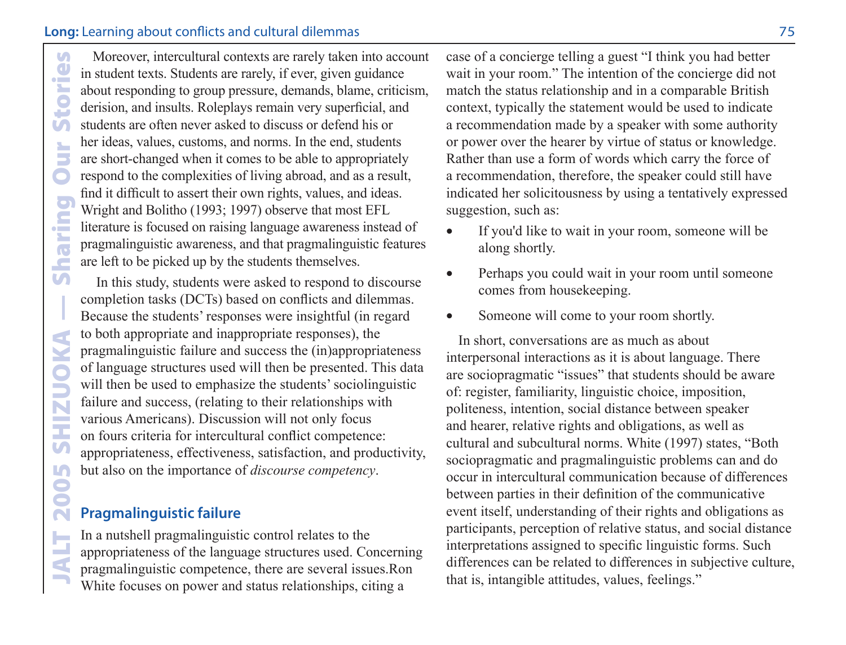Moreover, intercultural contexts are rarely taken into account<br>
in student texts. Students are rarely, if ever, given guidance<br>
about responding to group pressure, demands, blame, criticism,<br>
derision, and insults. Rolepla in student texts. Students are rarely, if ever, given guidance about responding to group pressure, demands, blame, criticism, derision, and insults. Roleplays remain very superficial, and students are often never asked to discuss or defend his or her ideas, values, customs, and norms. In the end, students are short-changed when it comes to be able to appropriately respond to the complexities of living abroad, and as a result, find it difficult to assert their own rights, values, and ideas. Wright and Bolitho (1993; 1997) observe that most EFL literature is focused on raising language awareness instead of pragmalinguistic awareness, and that pragmalinguistic features are left to be picked up by the students themselves.

 In this study, students were asked to respond to discourse completion tasks (DCTs) based on conflicts and dilemmas. Because the students' responses were insightful (in regard to both appropriate and inappropriate responses), the pragmalinguistic failure and success the (in)appropriateness of language structures used will then be presented. This data will then be used to emphasize the students' sociolinguistic failure and success, (relating to their relationships with various Americans). Discussion will not only focus on fours criteria for intercultural conflict competence: appropriateness, effectiveness, satisfaction, and productivity, but also on the importance of *discourse competency*.

#### **Pragmalinguistic failure**

In a nutshell pragmalinguistic control relates to the appropriateness of the language structures used. Concerning pragmalinguistic competence, there are several issues.Ron White focuses on power and status relationships, citing a

case of a concierge telling a guest "I think you had better wait in your room." The intention of the concierge did not match the status relationship and in a comparable British context, typically the statement would be used to indicate a recommendation made by a speaker with some authority or power over the hearer by virtue of status or knowledge. Rather than use a form of words which carry the force of a recommendation, therefore, the speaker could still have indicated her solicitousness by using a tentatively expressed suggestion, such as:

- If you'd like to wait in your room, someone will be along shortly.
- Perhaps you could wait in your room until someone comes from housekeeping.
- Someone will come to your room shortly.

In short, conversations are as much as about interpersonal interactions as it is about language. There are sociopragmatic "issues" that students should be aware of: register, familiarity, linguistic choice, imposition, politeness, intention, social distance between speaker and hearer, relative rights and obligations, as well as cultural and subcultural norms. White (1997) states, "Both sociopragmatic and pragmalinguistic problems can and do occur in intercultural communication because of differences between parties in their definition of the communicative event itself, understanding of their rights and obligations as participants, perception of relative status, and social distance interpretations assigned to specific linguistic forms. Such differences can be related to differences in subjective culture, that is, intangible attitudes, values, feelings."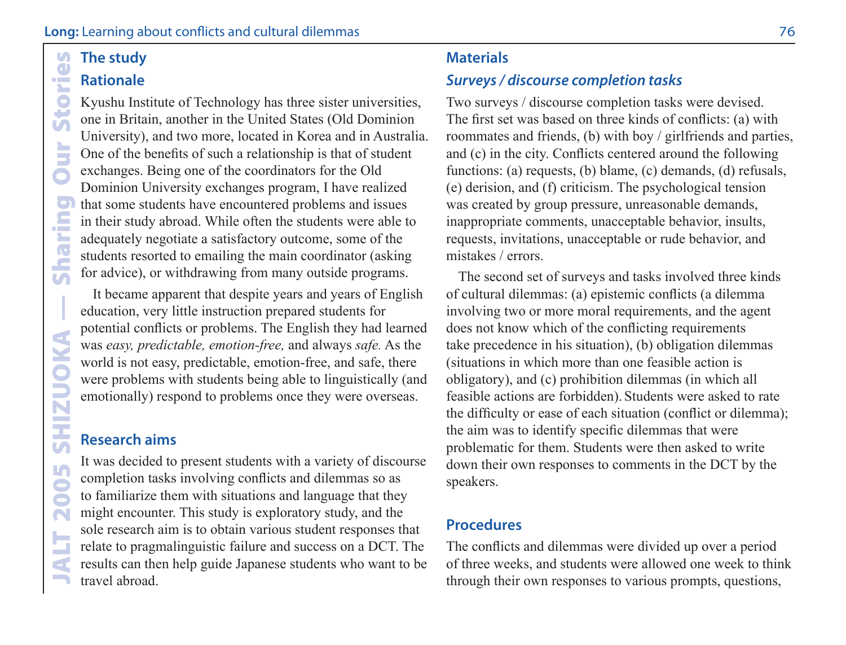#### $\overline{G}$ The study  $\overline{a}$ **Rationale** Ť

Sto

**Our** 

 $\overline{\mathbf{C}}$ F

**Sharin** 

2005 SHIZUOKA

# The study<br>
Rationale<br>
Kyushu Ins<br>
one in Brita<br>
University)<br>
One of the lexchanges.<br>
Dominion I<br>
that some sin their stude<br>
adequately<br>
students res<br>
for advice),<br>
It became<br>
education, potential co<br>
was *easy, p*<br>
world i Kyushu Institute of Technology has three sister universities, one in Britain, another in the United States (Old Dominion University), and two more, located in Korea and in Australia. One of the benefits of such a relationship is that of student exchanges. Being one of the coordinators for the Old Dominion University exchanges program, I have realized that some students have encountered problems and issues in their study abroad. While often the students were able to adequately negotiate a satisfactory outcome, some of the students resorted to emailing the main coordinator (asking for advice), or withdrawing from many outside programs.

It became apparent that despite years and years of English education, very little instruction prepared students for potential conflicts or problems. The English they had learned was *easy, predictable, emotion-free,* and always *safe.* As the world is not easy, predictable, emotion-free, and safe, there were problems with students being able to linguistically (and emotionally) respond to problems once they were overseas.

#### **Research aims**

It was decided to present students with a variety of discourse completion tasks involving conflicts and dilemmas so as to familiarize them with situations and language that they might encounter. This study is exploratory study, and the sole research aim is to obtain various student responses that relate to pragmalinguistic failure and success on a DCT. The results can then help guide Japanese students who want to be travel abroad.

#### **Materials**

#### *Surveys / discourse completion tasks*

Two surveys / discourse completion tasks were devised. The first set was based on three kinds of conflicts: (a) with roommates and friends, (b) with boy / girlfriends and parties, and (c) in the city. Conflicts centered around the following functions: (a) requests, (b) blame, (c) demands, (d) refusals, (e) derision, and (f) criticism. The psychological tension was created by group pressure, unreasonable demands, inappropriate comments, unacceptable behavior, insults, requests, invitations, unacceptable or rude behavior, and mistakes / errors.

The second set of surveys and tasks involved three kinds of cultural dilemmas: (a) epistemic conflicts (a dilemma involving two or more moral requirements, and the agent does not know which of the conflicting requirements take precedence in his situation), (b) obligation dilemmas (situations in which more than one feasible action is obligatory), and (c) prohibition dilemmas (in which all feasible actions are forbidden). Students were asked to rate the difficulty or ease of each situation (conflict or dilemma); the aim was to identify specific dilemmas that were problematic for them. Students were then asked to write down their own responses to comments in the DCT by the speakers.

#### **Procedures**

The conflicts and dilemmas were divided up over a period of three weeks, and students were allowed one week to think through their own responses to various prompts, questions,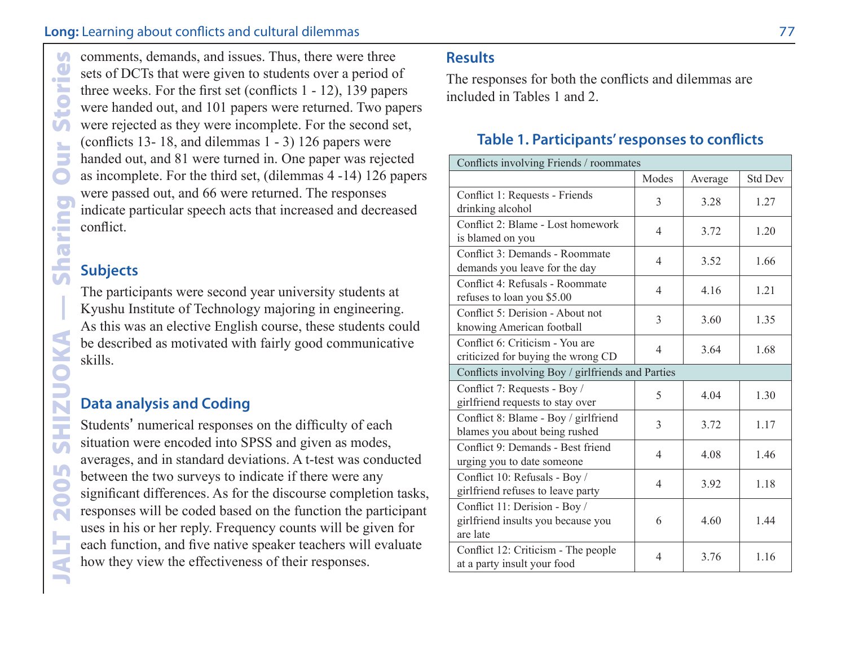#### **Long:** Learning about conflicts and cultural dilemmas **1996 1996 1997 1998 1998 1998 1999 1999 1999 1999 1999 1999 1999 1999 1999 1999 1999 1999 1999 1999 1999 1999 1999 1999**

decays and issues. Thus, there were three sets of DCTs that were given to students over a period of the direct given the direct store and the direct of the second (conflicts 1- 12), 139 pape<br>were handed out, and 101 papers sets of DCTs that were given to students over a period of three weeks. For the first set (conflicts 1 - 12), 139 papers were handed out, and 101 papers were returned. Two papers were rejected as they were incomplete. For the second set, (conflicts 13- 18, and dilemmas 1 - 3) 126 papers were handed out, and 81 were turned in. One paper was rejected as incomplete. For the third set, (dilemmas 4 -14) 126 papers were passed out, and 66 were returned. The responses indicate particular speech acts that increased and decreased conflict.

#### **Subjects**

The participants were second year university students at Kyushu Institute of Technology majoring in engineering. As this was an elective English course, these students could be described as motivated with fairly good communicative skills.

#### **Data analysis and Coding**

Students' numerical responses on the difficulty of each situation were encoded into SPSS and given as modes, averages, and in standard deviations. A t-test was conducted between the two surveys to indicate if there were any significant differences. As for the discourse completion tasks, responses will be coded based on the function the participant uses in his or her reply. Frequency counts will be given for each function, and five native speaker teachers will evaluate how they view the effectiveness of their responses.

#### **Results**

The responses for both the conflicts and dilemmas are included in Tables 1 and 2.

#### **Table 1. Participants' responses to conflicts**

| Conflicts involving Friends / roommates                                         |                          |         |                |  |  |
|---------------------------------------------------------------------------------|--------------------------|---------|----------------|--|--|
|                                                                                 | Modes                    | Average | <b>Std Dev</b> |  |  |
| Conflict 1: Requests - Friends<br>drinking alcohol                              | 3                        | 3.28    | 1.27           |  |  |
| Conflict 2: Blame - Lost homework<br>is blamed on you                           | $\overline{4}$           | 3.72    | 1.20           |  |  |
| Conflict 3: Demands - Roommate<br>demands you leave for the day                 | 4                        | 3.52    | 1.66           |  |  |
| Conflict 4: Refusals - Roommate<br>refuses to loan you \$5.00                   | $\overline{\mathcal{A}}$ | 4.16    | 1.21           |  |  |
| Conflict 5: Derision - About not<br>knowing American football                   | 3                        | 3.60    | 1.35           |  |  |
| Conflict 6: Criticism - You are<br>criticized for buying the wrong CD           | $\overline{\mathcal{A}}$ | 3.64    | 1.68           |  |  |
| Conflicts involving Boy / girlfriends and Parties                               |                          |         |                |  |  |
| Conflict 7: Requests - Boy /<br>girlfriend requests to stay over                | 5                        | 4.04    | 1.30           |  |  |
| Conflict 8: Blame - Boy / girlfriend<br>blames you about being rushed           | 3                        | 3.72    | 1.17           |  |  |
| Conflict 9: Demands - Best friend<br>urging you to date someone                 | $\overline{4}$           | 4.08    | 1.46           |  |  |
| Conflict 10: Refusals - Boy /<br>girlfriend refuses to leave party              | $\overline{4}$           | 3.92    | 1.18           |  |  |
| Conflict 11: Derision - Boy /<br>girlfriend insults you because you<br>are late | 6                        | 4.60    | 1.44           |  |  |
| Conflict 12: Criticism - The people<br>at a party insult your food              | $\overline{4}$           | 3.76    | 1.16           |  |  |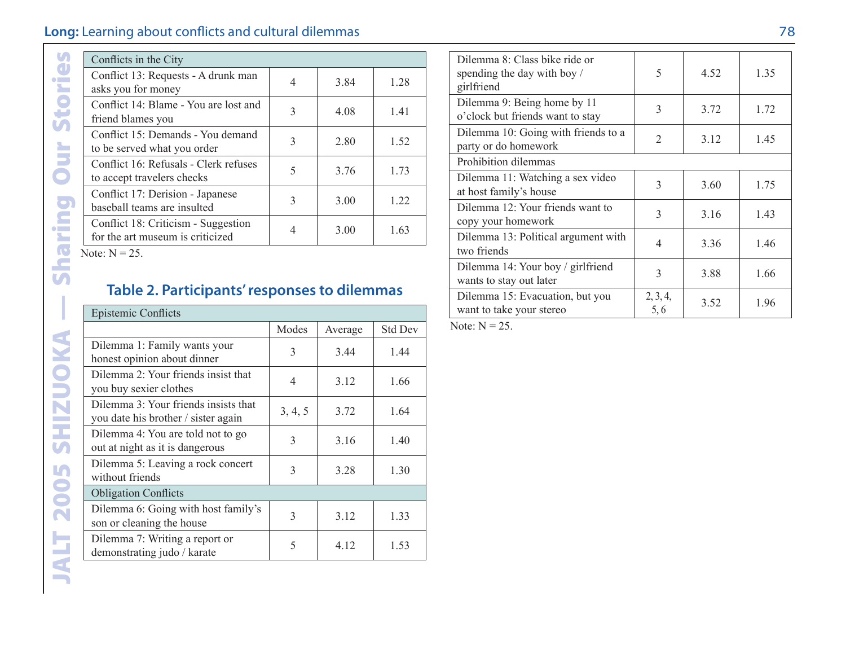| Conflicts in the City                                                   |               |      |      |  |  |  |  |  |
|-------------------------------------------------------------------------|---------------|------|------|--|--|--|--|--|
| Conflict 13: Requests - A drunk man<br>asks you for money               | 4             | 3.84 | 1.28 |  |  |  |  |  |
| Conflict 14: Blame - You are lost and<br>friend blames you              | 3             | 4.08 | 1.41 |  |  |  |  |  |
| Conflict 15: Demands - You demand<br>to be served what you order        | $\mathcal{F}$ | 2.80 | 1.52 |  |  |  |  |  |
| Conflict 16: Refusals - Clerk refuses<br>to accept travelers checks     | $\varsigma$   | 3.76 | 1.73 |  |  |  |  |  |
| Conflict 17: Derision - Japanese<br>baseball teams are insulted         | $\mathcal{E}$ | 3.00 | 1.22 |  |  |  |  |  |
| Conflict 18: Criticism - Suggestion<br>for the art museum is criticized |               | 3.00 | 1.63 |  |  |  |  |  |

#### **Table 2. Participants' responses to dilemmas**

| Conflicts in the City                                                       |                |         |                        |
|-----------------------------------------------------------------------------|----------------|---------|------------------------|
| Conflict 13: Requests - A drunk man<br>asks you for money                   | 4              | 3.84    | 1.28                   |
| Conflict 14: Blame - You are lost and<br>friend blames you                  | 3              | 4.08    | 1.41                   |
| Conflict 15: Demands - You demand<br>to be served what you order            | 3              | 2.80    | 1.52                   |
| Conflict 16: Refusals - Clerk refuses<br>to accept travelers checks         | 5              | 3.76    | 1.73                   |
| Conflict 17: Derision - Japanese<br>baseball teams are insulted             | 3              | 3.00    | 1.22                   |
| Conflict 18: Criticism - Suggestion<br>for the art museum is criticized     | $\overline{4}$ | 3.00    | 1.63                   |
| Table 2. Participants' responses to dilemmas                                |                |         |                        |
| <b>Epistemic Conflicts</b>                                                  |                |         |                        |
|                                                                             | Modes          | Average |                        |
| Dilemma 1: Family wants your<br>honest opinion about dinner                 | 3              | 3.44    | <b>Std Dev</b><br>1.44 |
| Dilemma 2: Your friends insist that<br>you buy sexier clothes               | $\overline{4}$ | 3.12    |                        |
| Dilemma 3: Your friends insists that<br>you date his brother / sister again | 3, 4, 5        | 3.72    |                        |
| Dilemma 4: You are told not to go<br>out at night as it is dangerous        | 3              | 3.16    | 1.66<br>1.64<br>1.40   |
| Dilemma 5: Leaving a rock concert<br>without friends                        | 3              | 3.28    |                        |
| <b>Obligation Conflicts</b>                                                 |                |         | 1.30                   |
| Dilemma 6: Going with host family's<br>son or cleaning the house            | 3              | 3.12    | 1.33                   |

| Dilemma 8: Class bike ride or<br>spending the day with boy /<br>girlfriend | 5               | 4.52 | 1.35 |
|----------------------------------------------------------------------------|-----------------|------|------|
| Dilemma 9: Being home by 11<br>o'clock but friends want to stay            | 3               | 3.72 | 1.72 |
| Dilemma 10: Going with friends to a<br>party or do homework                | $\mathfrak{D}$  | 3.12 | 1.45 |
| Prohibition dilemmas                                                       |                 |      |      |
| Dilemma 11: Watching a sex video<br>at host family's house                 | 3               | 3.60 | 1.75 |
| Dilemma 12: Your friends want to<br>copy your homework                     | 3               | 3.16 | 1.43 |
| Dilemma 13: Political argument with<br>two friends                         | $\overline{4}$  | 3.36 | 1.46 |
| Dilemma 14: Your boy / girlfriend<br>wants to stay out later               | 3               | 3.88 | 1.66 |
| Dilemma 15: Evacuation, but you<br>want to take your stereo                | 2, 3, 4,<br>5.6 | 3.52 | 1.96 |

Note:  $N = 25$ .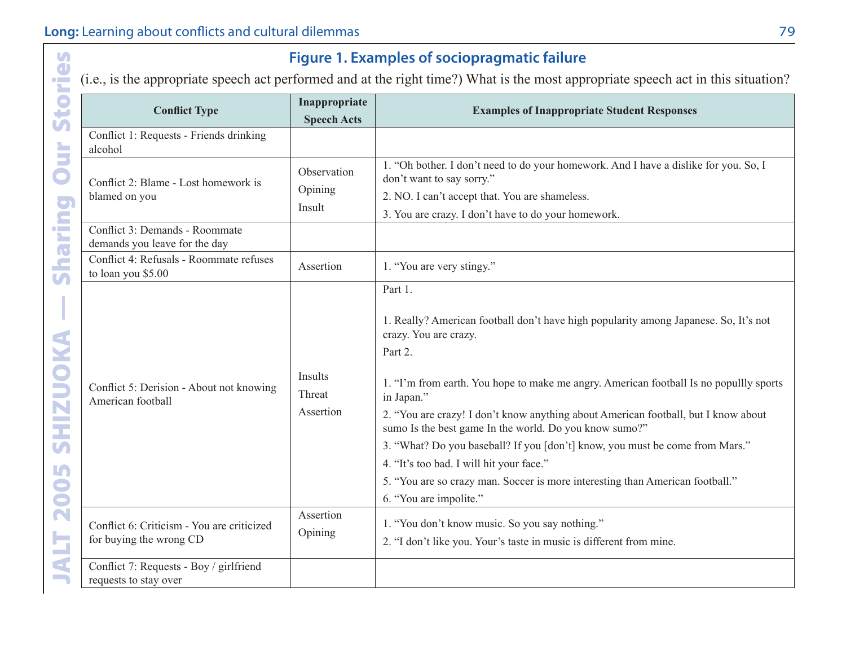| $\mathbf{U}$<br>Ō                      |                                                                                                                                   |                                     | <b>Figure 1. Examples of sociopragmatic failure</b>                                                                                                                                                                                                                                                                                                                                                                                                                                                                                                                                                                                |  |  |
|----------------------------------------|-----------------------------------------------------------------------------------------------------------------------------------|-------------------------------------|------------------------------------------------------------------------------------------------------------------------------------------------------------------------------------------------------------------------------------------------------------------------------------------------------------------------------------------------------------------------------------------------------------------------------------------------------------------------------------------------------------------------------------------------------------------------------------------------------------------------------------|--|--|
| $\bullet$<br>×.                        | (i.e., is the appropriate speech act performed and at the right time?) What is the most appropriate speech act in this situation? |                                     |                                                                                                                                                                                                                                                                                                                                                                                                                                                                                                                                                                                                                                    |  |  |
| G<br>Ū                                 | <b>Conflict Type</b>                                                                                                              | Inappropriate<br><b>Speech Acts</b> | <b>Examples of Inappropriate Student Responses</b>                                                                                                                                                                                                                                                                                                                                                                                                                                                                                                                                                                                 |  |  |
| È                                      | Conflict 1: Requests - Friends drinking<br>alcohol                                                                                |                                     |                                                                                                                                                                                                                                                                                                                                                                                                                                                                                                                                                                                                                                    |  |  |
|                                        | Conflict 2: Blame - Lost homework is                                                                                              | Observation<br>Opining              | 1. "Oh bother. I don't need to do your homework. And I have a dislike for you. So, I<br>don't want to say sorry."                                                                                                                                                                                                                                                                                                                                                                                                                                                                                                                  |  |  |
|                                        | blamed on you                                                                                                                     | Insult                              | 2. NO. I can't accept that. You are shameless.<br>3. You are crazy. I don't have to do your homework.                                                                                                                                                                                                                                                                                                                                                                                                                                                                                                                              |  |  |
| haring                                 | Conflict 3: Demands - Roommate<br>demands you leave for the day                                                                   |                                     |                                                                                                                                                                                                                                                                                                                                                                                                                                                                                                                                                                                                                                    |  |  |
|                                        | Conflict 4: Refusals - Roommate refuses<br>to loan you \$5.00                                                                     | Assertion                           | 1. "You are very stingy."                                                                                                                                                                                                                                                                                                                                                                                                                                                                                                                                                                                                          |  |  |
| HIZUOKA<br><b>SV</b><br>In<br>200<br>5 | Conflict 5: Derision - About not knowing<br>American football                                                                     | Insults<br>Threat<br>Assertion      | Part 1.<br>1. Really? American football don't have high popularity among Japanese. So, It's not<br>crazy. You are crazy.<br>Part 2.<br>1. "I'm from earth. You hope to make me angry. American football Is no popullly sports<br>in Japan."<br>2. "You are crazy! I don't know anything about American football, but I know about<br>sumo Is the best game In the world. Do you know sumo?"<br>3. "What? Do you baseball? If you [don't] know, you must be come from Mars."<br>4. "It's too bad. I will hit your face."<br>5. "You are so crazy man. Soccer is more interesting than American football."<br>6. "You are impolite." |  |  |
|                                        | Conflict 6: Criticism - You are criticized<br>for buying the wrong CD                                                             | Assertion<br>Opining                | 1. "You don't know music. So you say nothing."<br>2. "I don't like you. Your's taste in music is different from mine.                                                                                                                                                                                                                                                                                                                                                                                                                                                                                                              |  |  |
|                                        | Conflict 7: Requests - Boy / girlfriend<br>requests to stay over                                                                  |                                     |                                                                                                                                                                                                                                                                                                                                                                                                                                                                                                                                                                                                                                    |  |  |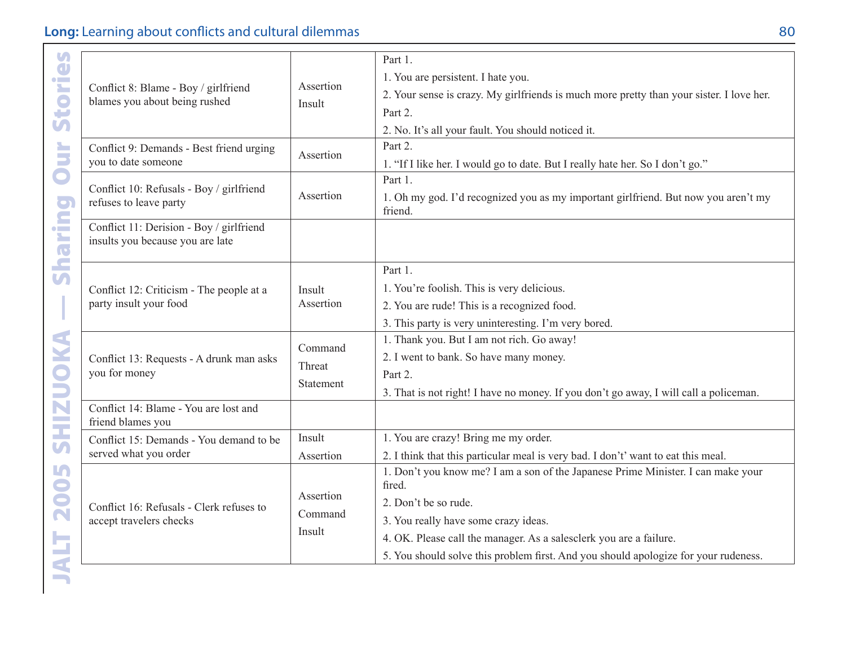|                                                                              |                     | Part 1.                                                                                       |
|------------------------------------------------------------------------------|---------------------|-----------------------------------------------------------------------------------------------|
| Conflict 8: Blame - Boy / girlfriend<br>blames you about being rushed        | Assertion           | 1. You are persistent. I hate you.                                                            |
|                                                                              |                     | 2. Your sense is crazy. My girlfriends is much more pretty than your sister. I love her.      |
|                                                                              | Insult              | Part 2.                                                                                       |
|                                                                              |                     | 2. No. It's all your fault. You should noticed it.                                            |
| Conflict 9: Demands - Best friend urging                                     | Assertion           | Part 2.                                                                                       |
| you to date someone                                                          |                     | 1. "If I like her. I would go to date. But I really hate her. So I don't go."                 |
| Conflict 10: Refusals - Boy / girlfriend                                     |                     | Part 1.                                                                                       |
| refuses to leave party                                                       | Assertion           | 1. Oh my god. I'd recognized you as my important girlfriend. But now you aren't my<br>friend. |
| Conflict 11: Derision - Boy / girlfriend<br>insults you because you are late |                     |                                                                                               |
|                                                                              |                     | Part 1.                                                                                       |
| Conflict 12: Criticism - The people at a                                     | Insult<br>Assertion | 1. You're foolish. This is very delicious.                                                    |
| party insult your food                                                       |                     | 2. You are rude! This is a recognized food.                                                   |
|                                                                              |                     | 3. This party is very uninteresting. I'm very bored.                                          |
|                                                                              | Command             | 1. Thank you. But I am not rich. Go away!                                                     |
| Conflict 13: Requests - A drunk man asks                                     | Threat              | 2. I went to bank. So have many money.                                                        |
| you for money                                                                |                     | Part 2.                                                                                       |
|                                                                              | Statement           | 3. That is not right! I have no money. If you don't go away, I will call a policeman.         |
| Conflict 14: Blame - You are lost and<br>friend blames you                   |                     |                                                                                               |
| Conflict 15: Demands - You demand to be                                      | Insult              | 1. You are crazy! Bring me my order.                                                          |
| served what you order                                                        | Assertion           | 2. I think that this particular meal is very bad. I don't' want to eat this meal.             |
|                                                                              |                     | 1. Don't you know me? I am a son of the Japanese Prime Minister. I can make your<br>fired.    |
| Conflict 16: Refusals - Clerk refuses to                                     | Assertion           | 2. Don't be so rude.                                                                          |
| accept travelers checks                                                      | Command<br>Insult   | 3. You really have some crazy ideas.                                                          |
|                                                                              |                     | 4. OK. Please call the manager. As a salesclerk you are a failure.                            |
|                                                                              |                     | 5. You should solve this problem first. And you should apologize for your rudeness.           |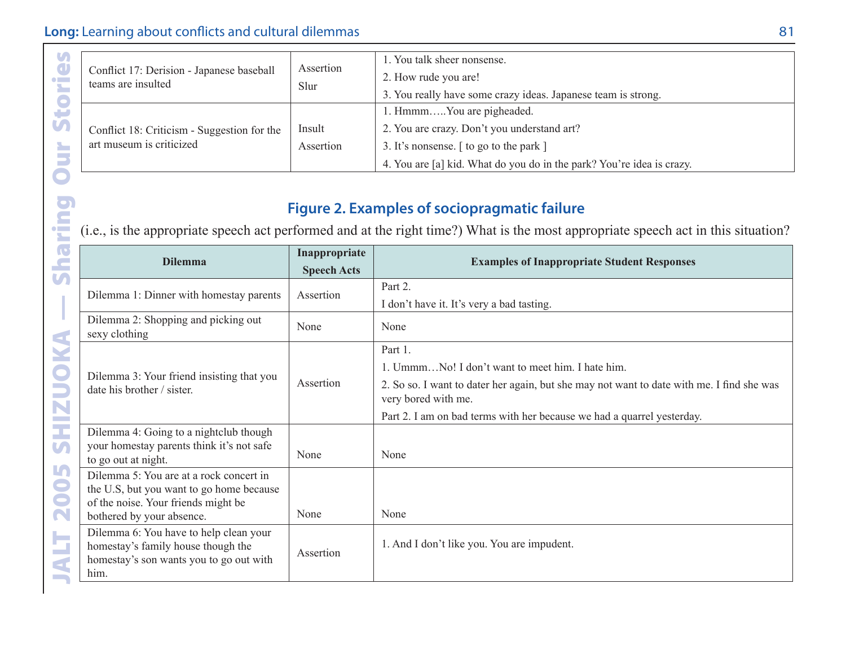|  | Conflict 17: Derision - Japanese baseball<br>teams are insulted         | Assertion<br>Slur   | 1. You talk sheer nonsense.<br>2. How rude you are!<br>3. You really have some crazy ideas. Japanese team is strong. |
|--|-------------------------------------------------------------------------|---------------------|----------------------------------------------------------------------------------------------------------------------|
|  | Conflict 18: Criticism - Suggestion for the<br>art museum is criticized | Insult<br>Assertion | 1. HmmmYou are pigheaded.<br>2. You are crazy. Don't you understand art?                                             |
|  |                                                                         |                     | 3. It's nonsense. [ to go to the park ]                                                                              |
|  |                                                                         |                     | 4. You are [a] kid. What do you do in the park? You're idea is crazy.                                                |

#### **Figure 2. Examples of sociopragmatic failure**

| <b>Stories</b>   | Conflict 17: Derision - Japanese baseball<br>teams are insulted<br>Conflict 18: Criticism - Suggestion for the                                          | Assertion<br>Slur<br>Insult         | 1. You talk sheer nonsense.<br>2. How rude you are!<br>3. You really have some crazy ideas. Japanese team is strong.<br>1. HmmmYou are pigheaded.<br>2. You are crazy. Don't you understand art?                                                          |
|------------------|---------------------------------------------------------------------------------------------------------------------------------------------------------|-------------------------------------|-----------------------------------------------------------------------------------------------------------------------------------------------------------------------------------------------------------------------------------------------------------|
| Š                | art museum is criticized                                                                                                                                | Assertion                           | 3. It's nonsense. [ to go to the park ]<br>4. You are [a] kid. What do you do in the park? You're idea is crazy.                                                                                                                                          |
| putn             |                                                                                                                                                         |                                     | <b>Figure 2. Examples of sociopragmatic failure</b><br>(i.e., is the appropriate speech act performed and at the right time?) What is the most appropriate speech act in this situation?                                                                  |
| <b>Shal</b>      | <b>Dilemma</b>                                                                                                                                          | Inappropriate<br><b>Speech Acts</b> | <b>Examples of Inappropriate Student Responses</b>                                                                                                                                                                                                        |
| I                | Dilemma 1: Dinner with homestay parents                                                                                                                 | Assertion                           | Part 2.<br>I don't have it. It's very a bad tasting.                                                                                                                                                                                                      |
|                  | Dilemma 2: Shopping and picking out<br>sexy clothing                                                                                                    | None                                | None                                                                                                                                                                                                                                                      |
| SHIZUOKA         | Dilemma 3: Your friend insisting that you<br>date his brother / sister.                                                                                 | Assertion                           | Part 1.<br>1. UmmmNo! I don't want to meet him. I hate him.<br>2. So so. I want to dater her again, but she may not want to date with me. I find she was<br>very bored with me.<br>Part 2. I am on bad terms with her because we had a quarrel yesterday. |
|                  | Dilemma 4: Going to a nightclub though<br>your homestay parents think it's not safe<br>to go out at night.                                              | None                                | None                                                                                                                                                                                                                                                      |
| 2005             | Dilemma 5: You are at a rock concert in<br>the U.S, but you want to go home because<br>of the noise. Your friends might be<br>bothered by your absence. | None                                | None                                                                                                                                                                                                                                                      |
| <b>ALT</b><br>m. | Dilemma 6: You have to help clean your<br>homestay's family house though the<br>homestay's son wants you to go out with<br>him.                         | Assertion                           | 1. And I don't like you. You are impudent.                                                                                                                                                                                                                |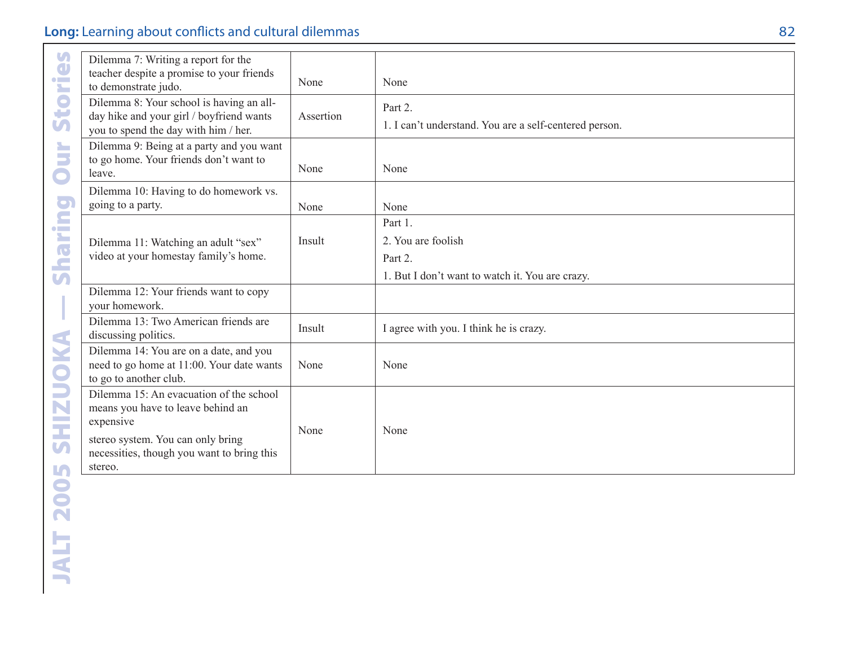| Stories                           | Dilemma 7: Writing a report for the<br>teacher despite a promise to your friends<br>to demonstrate judo.                                                                                | None      | None                                                                                        |
|-----------------------------------|-----------------------------------------------------------------------------------------------------------------------------------------------------------------------------------------|-----------|---------------------------------------------------------------------------------------------|
|                                   | Dilemma 8: Your school is having an all-<br>day hike and your girl / boyfriend wants<br>you to spend the day with him / her.                                                            | Assertion | Part 2.<br>1. I can't understand. You are a self-centered person.                           |
| Š<br>$\bullet$                    | Dilemma 9: Being at a party and you want<br>to go home. Your friends don't want to<br>leave.                                                                                            | None      | None                                                                                        |
|                                   | Dilemma 10: Having to do homework vs.<br>going to a party.                                                                                                                              | None      | None                                                                                        |
| haring<br>$\overline{\mathbf{U}}$ | Dilemma 11: Watching an adult "sex"<br>video at your homestay family's home.                                                                                                            | Insult    | Part 1.<br>2. You are foolish<br>Part 2.<br>1. But I don't want to watch it. You are crazy. |
| $\overline{\phantom{a}}$          | Dilemma 12: Your friends want to copy<br>your homework.                                                                                                                                 |           |                                                                                             |
|                                   | Dilemma 13: Two American friends are<br>discussing politics.                                                                                                                            | Insult    | I agree with you. I think he is crazy.                                                      |
|                                   | Dilemma 14: You are on a date, and you<br>need to go home at 11:00. Your date wants<br>to go to another club.                                                                           | None      | None                                                                                        |
| SHIZUOKA                          | Dilemma 15: An evacuation of the school<br>means you have to leave behind an<br>expensive<br>stereo system. You can only bring<br>necessities, though you want to bring this<br>stereo. | None      | None                                                                                        |
| <b>2005</b>                       |                                                                                                                                                                                         |           |                                                                                             |
|                                   |                                                                                                                                                                                         |           |                                                                                             |
| JALT                              |                                                                                                                                                                                         |           |                                                                                             |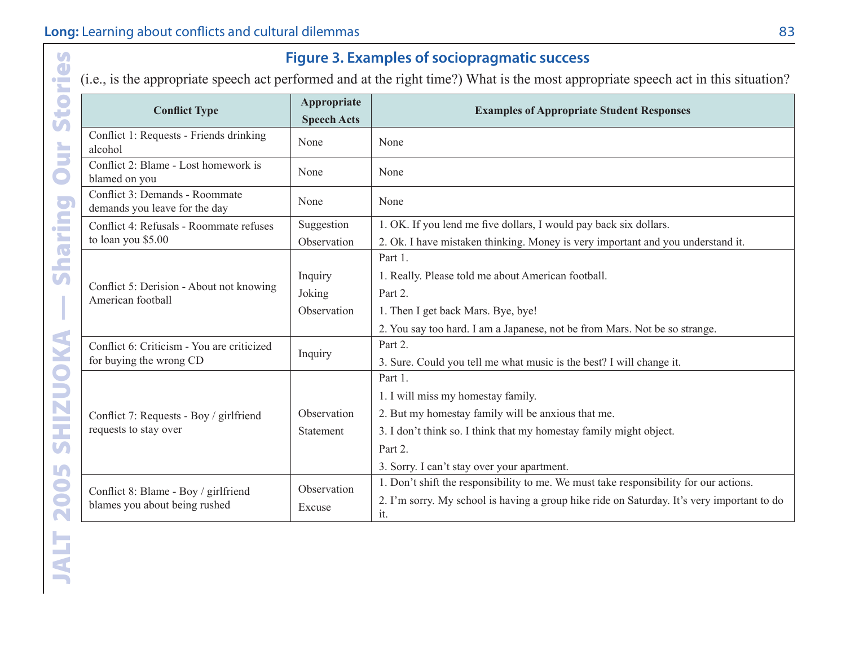| <b>Conflict Type</b>                                            | <b>Appropriate</b><br><b>Speech Acts</b> | <b>Examples of Appropriate Student Responses</b>                                                  |
|-----------------------------------------------------------------|------------------------------------------|---------------------------------------------------------------------------------------------------|
| Conflict 1: Requests - Friends drinking<br>alcohol              | None                                     | None                                                                                              |
| Conflict 2: Blame - Lost homework is<br>blamed on you           | None                                     | None                                                                                              |
| Conflict 3: Demands - Roommate<br>demands you leave for the day | None                                     | None                                                                                              |
| Conflict 4: Refusals - Roommate refuses                         | Suggestion                               | 1. OK. If you lend me five dollars, I would pay back six dollars.                                 |
| to loan you \$5.00                                              | Observation                              | 2. Ok. I have mistaken thinking. Money is very important and you understand it.                   |
|                                                                 |                                          | Part 1.                                                                                           |
|                                                                 | Inquiry                                  | 1. Really. Please told me about American football.                                                |
| Conflict 5: Derision - About not knowing<br>American football   | Joking                                   | Part 2.                                                                                           |
|                                                                 | Observation                              | 1. Then I get back Mars. Bye, bye!                                                                |
|                                                                 |                                          | 2. You say too hard. I am a Japanese, not be from Mars. Not be so strange.                        |
| Conflict 6: Criticism - You are criticized                      | Inquiry                                  | Part 2.                                                                                           |
| for buying the wrong CD                                         |                                          | 3. Sure. Could you tell me what music is the best? I will change it.                              |
|                                                                 |                                          | Part 1.                                                                                           |
|                                                                 |                                          | 1. I will miss my homestay family.                                                                |
| Conflict 7: Requests - Boy / girlfriend                         | Observation                              | 2. But my homestay family will be anxious that me.                                                |
| requests to stay over                                           | Statement                                | 3. I don't think so. I think that my homestay family might object.                                |
|                                                                 |                                          | Part 2.                                                                                           |
|                                                                 |                                          | 3. Sorry. I can't stay over your apartment.                                                       |
| Conflict 8: Blame - Boy / girlfriend                            | Observation                              | 1. Don't shift the responsibility to me. We must take responsibility for our actions.             |
| blames you about being rushed                                   | Excuse                                   | 2. I'm sorry. My school is having a group hike ride on Saturday. It's very important to do<br>it. |

**Figure 3. Examples of sociopragmatic success**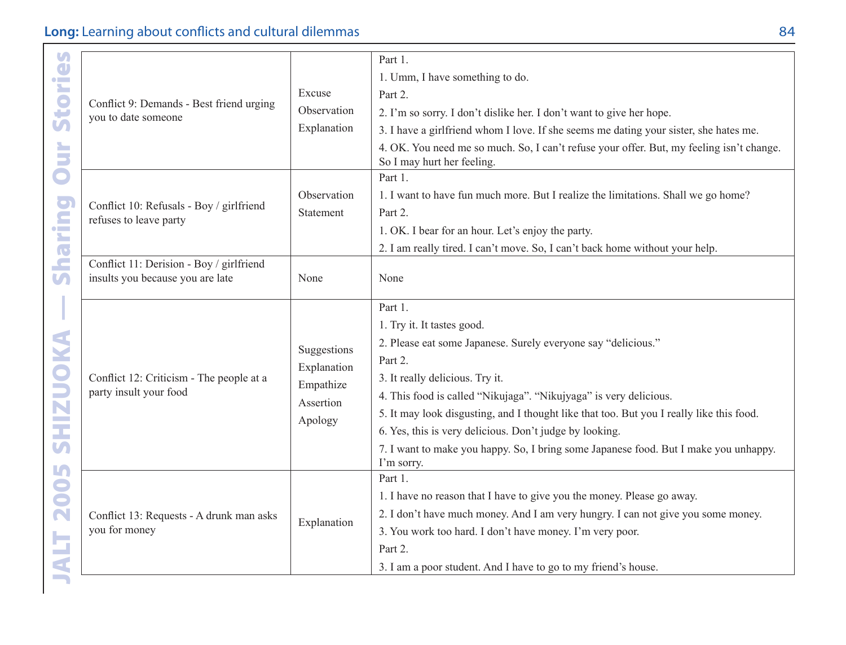| Stories                 |                                                                    |                  | Part 1.                                                                                                                |
|-------------------------|--------------------------------------------------------------------|------------------|------------------------------------------------------------------------------------------------------------------------|
|                         | Conflict 9: Demands - Best friend urging<br>you to date someone    |                  | 1. Umm, I have something to do.                                                                                        |
|                         |                                                                    | Excuse           | Part 2.                                                                                                                |
|                         |                                                                    | Observation      | 2. I'm so sorry. I don't dislike her. I don't want to give her hope.                                                   |
|                         |                                                                    | Explanation      | 3. I have a girlfriend whom I love. If she seems me dating your sister, she hates me.                                  |
| Our                     |                                                                    |                  | 4. OK. You need me so much. So, I can't refuse your offer. But, my feeling isn't change.<br>So I may hurt her feeling. |
|                         |                                                                    |                  | Part 1.                                                                                                                |
|                         |                                                                    | Observation      | 1. I want to have fun much more. But I realize the limitations. Shall we go home?                                      |
|                         | Conflict 10: Refusals - Boy / girlfriend<br>refuses to leave party | <b>Statement</b> | Part 2.                                                                                                                |
|                         |                                                                    |                  | 1. OK. I bear for an hour. Let's enjoy the party.                                                                      |
| haring                  |                                                                    |                  | 2. I am really tired. I can't move. So, I can't back home without your help.                                           |
|                         | Conflict 11: Derision - Boy / girlfriend                           |                  |                                                                                                                        |
| $\overline{\mathbf{U}}$ | insults you because you are late                                   | None             | None                                                                                                                   |
|                         |                                                                    |                  | Part 1.                                                                                                                |
|                         |                                                                    |                  |                                                                                                                        |
|                         |                                                                    |                  | 1. Try it. It tastes good.                                                                                             |
| SHIZUOKA                |                                                                    | Suggestions      | 2. Please eat some Japanese. Surely everyone say "delicious."                                                          |
|                         |                                                                    | Explanation      | Part 2.                                                                                                                |
|                         | Conflict 12: Criticism - The people at a<br>party insult your food | Empathize        | 3. It really delicious. Try it.                                                                                        |
|                         |                                                                    | Assertion        | 4. This food is called "Nikujaga". "Nikujyaga" is very delicious.                                                      |
|                         |                                                                    | Apology          | 5. It may look disgusting, and I thought like that too. But you I really like this food.                               |
|                         |                                                                    |                  | 6. Yes, this is very delicious. Don't judge by looking.                                                                |
|                         |                                                                    |                  | 7. I want to make you happy. So, I bring some Japanese food. But I make you unhappy.<br>I'm sorry.                     |
|                         |                                                                    |                  | Part 1.                                                                                                                |
|                         |                                                                    |                  | 1. I have no reason that I have to give you the money. Please go away.                                                 |
| 2005                    | Conflict 13: Requests - A drunk man asks<br>you for money          |                  | 2. I don't have much money. And I am very hungry. I can not give you some money.                                       |
|                         |                                                                    | Explanation      | 3. You work too hard. I don't have money. I'm very poor.                                                               |
|                         |                                                                    |                  | Part 2.                                                                                                                |
| ALT                     |                                                                    |                  | 3. I am a poor student. And I have to go to my friend's house.                                                         |
| <b>START OF</b>         |                                                                    |                  |                                                                                                                        |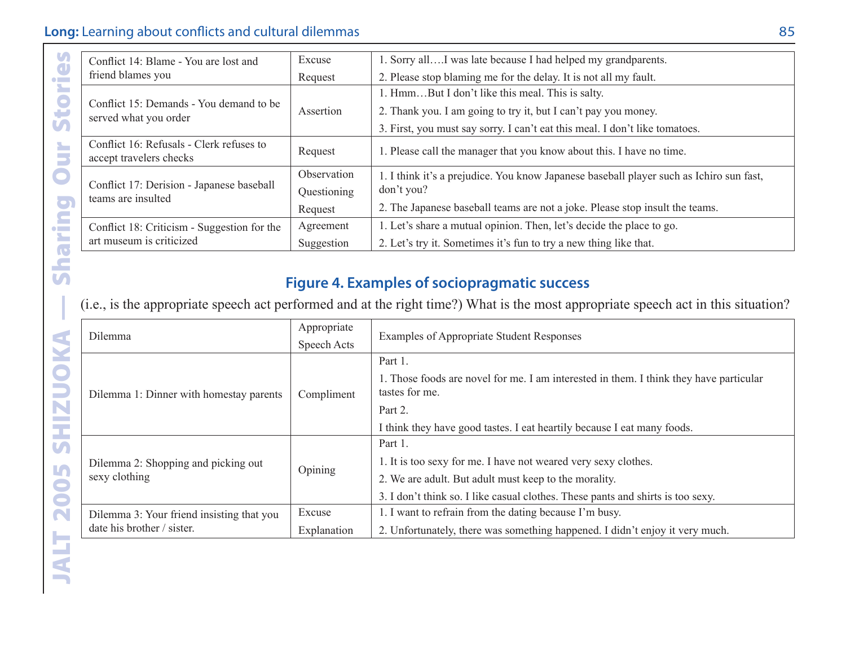|  | Conflict 14: Blame - You are lost and                               | Excuse      | 1. Sorry all I was late because I had helped my grandparents.                           |
|--|---------------------------------------------------------------------|-------------|-----------------------------------------------------------------------------------------|
|  | friend blames you                                                   | Request     | 2. Please stop blaming me for the delay. It is not all my fault.                        |
|  |                                                                     |             | 1. HmmBut I don't like this meal. This is salty.                                        |
|  | Conflict 15: Demands - You demand to be<br>served what you order    | Assertion   | 2. Thank you. I am going to try it, but I can't pay you money.                          |
|  |                                                                     |             | 3. First, you must say sorry. I can't eat this meal. I don't like tomatoes.             |
|  | Conflict 16: Refusals - Clerk refuses to<br>accept travelers checks | Request     | 1. Please call the manager that you know about this. I have no time.                    |
|  | Conflict 17: Derision - Japanese baseball<br>teams are insulted     | Observation | 1. I think it's a prejudice. You know Japanese baseball player such as Ichiro sun fast, |
|  |                                                                     | Ouestioning | don't you?                                                                              |
|  |                                                                     | Request     | 2. The Japanese baseball teams are not a joke. Please stop insult the teams.            |
|  | Conflict 18: Criticism - Suggestion for the                         | Agreement   | 1. Let's share a mutual opinion. Then, let's decide the place to go.                    |
|  | art museum is criticized                                            | Suggestion  | 2. Let's try it. Sometimes it's fun to try a new thing like that.                       |
|  |                                                                     |             |                                                                                         |

#### **Figure 4. Examples of sociopragmatic success**

| Conflict 14: Blame - You are lost and |                                             | Excuse      | 1. Sorry allI was late because I had helped my grandparents.                                                                      |  |
|---------------------------------------|---------------------------------------------|-------------|-----------------------------------------------------------------------------------------------------------------------------------|--|
| friend blames you                     |                                             | Request     | 2. Please stop blaming me for the delay. It is not all my fault.                                                                  |  |
|                                       |                                             | Assertion   | 1. HmmBut I don't like this meal. This is salty.                                                                                  |  |
| served what you order                 | Conflict 15: Demands - You demand to be     |             | 2. Thank you. I am going to try it, but I can't pay you money.                                                                    |  |
|                                       |                                             |             | 3. First, you must say sorry. I can't eat this meal. I don't like tomatoes.                                                       |  |
| accept travelers checks               | Conflict 16: Refusals - Clerk refuses to    | Request     | 1. Please call the manager that you know about this. I have no time.                                                              |  |
|                                       | Conflict 17: Derision - Japanese baseball   | Observation | 1. I think it's a prejudice. You know Japanese baseball player such as Ichiro sun fast,                                           |  |
| teams are insulted                    |                                             | Questioning | don't you?                                                                                                                        |  |
|                                       |                                             | Request     | 2. The Japanese baseball teams are not a joke. Please stop insult the teams.                                                      |  |
|                                       | Conflict 18: Criticism - Suggestion for the | Agreement   | 1. Let's share a mutual opinion. Then, let's decide the place to go.                                                              |  |
| art museum is criticized              |                                             | Suggestion  | 2. Let's try it. Sometimes it's fun to try a new thing like that.                                                                 |  |
|                                       |                                             |             |                                                                                                                                   |  |
|                                       |                                             |             | <b>Figure 4. Examples of sociopragmatic success</b>                                                                               |  |
|                                       |                                             | Appropriate | (i.e., is the appropriate speech act performed and at the right time?) What is the most appropriate speech act in this situation? |  |
| Dilemma                               |                                             | Speech Acts | <b>Examples of Appropriate Student Responses</b>                                                                                  |  |
|                                       |                                             |             | Part 1.                                                                                                                           |  |
|                                       | Dilemma 1: Dinner with homestay parents     | Compliment  | 1. Those foods are novel for me. I am interested in them. I think they have particular<br>tastes for me.                          |  |
|                                       |                                             |             | Part 2.                                                                                                                           |  |
|                                       |                                             |             | I think they have good tastes. I eat heartily because I eat many foods.                                                           |  |
|                                       |                                             |             | Part 1.                                                                                                                           |  |
|                                       | Dilemma 2: Shopping and picking out         |             | 1. It is too sexy for me. I have not weared very sexy clothes.                                                                    |  |
| sexy clothing                         |                                             | Opining     | 2. We are adult. But adult must keep to the morality.                                                                             |  |
|                                       |                                             |             | 3. I don't think so. I like casual clothes. These pants and shirts is too sexy.                                                   |  |
|                                       | Dilemma 3: Your friend insisting that you   | Excuse      | 1. I want to refrain from the dating because I'm busy.                                                                            |  |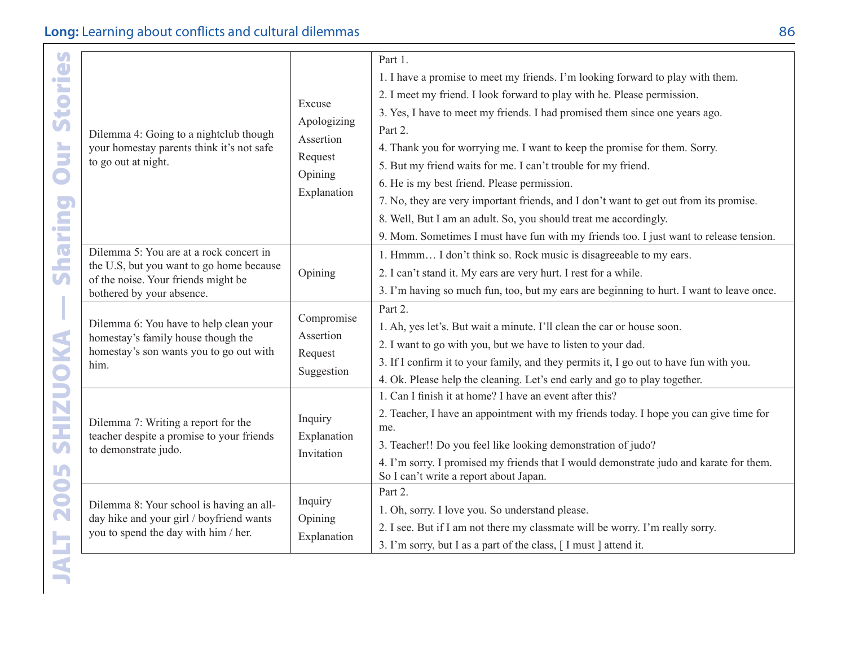| Dilemma 4: Going to a nightclub though<br>your homestay parents think it's not safe<br>to go out at night.                                              | Excuse<br>Apologizing<br>Assertion<br>Request<br>Opining<br>Explanation | Part 1.<br>1. I have a promise to meet my friends. I'm looking forward to play with them.<br>2. I meet my friend. I look forward to play with he. Please permission.<br>3. Yes, I have to meet my friends. I had promised them since one years ago.<br>Part 2.<br>4. Thank you for worrying me. I want to keep the promise for them. Sorry.<br>5. But my friend waits for me. I can't trouble for my friend.<br>6. He is my best friend. Please permission.<br>7. No, they are very important friends, and I don't want to get out from its promise.<br>8. Well, But I am an adult. So, you should treat me accordingly.<br>9. Mom. Sometimes I must have fun with my friends too. I just want to release tension. |
|---------------------------------------------------------------------------------------------------------------------------------------------------------|-------------------------------------------------------------------------|--------------------------------------------------------------------------------------------------------------------------------------------------------------------------------------------------------------------------------------------------------------------------------------------------------------------------------------------------------------------------------------------------------------------------------------------------------------------------------------------------------------------------------------------------------------------------------------------------------------------------------------------------------------------------------------------------------------------|
| Dilemma 5: You are at a rock concert in<br>the U.S, but you want to go home because<br>of the noise. Your friends might be<br>bothered by your absence. | Opining                                                                 | 1. Hmmm I don't think so. Rock music is disagreeable to my ears.<br>2. I can't stand it. My ears are very hurt. I rest for a while.<br>3. I'm having so much fun, too, but my ears are beginning to hurt. I want to leave once.                                                                                                                                                                                                                                                                                                                                                                                                                                                                                    |
| Dilemma 6: You have to help clean your<br>homestay's family house though the<br>homestay's son wants you to go out with<br>him.                         | Compromise<br>Assertion<br>Request<br>Suggestion                        | Part 2.<br>1. Ah, yes let's. But wait a minute. I'll clean the car or house soon.<br>2. I want to go with you, but we have to listen to your dad.<br>3. If I confirm it to your family, and they permits it, I go out to have fun with you.<br>4. Ok. Please help the cleaning. Let's end early and go to play together.                                                                                                                                                                                                                                                                                                                                                                                           |
| Dilemma 7: Writing a report for the<br>teacher despite a promise to your friends<br>to demonstrate judo.                                                | Inquiry<br>Explanation<br>Invitation                                    | 1. Can I finish it at home? I have an event after this?<br>2. Teacher, I have an appointment with my friends today. I hope you can give time for<br>me.<br>3. Teacher!! Do you feel like looking demonstration of judo?<br>4. I'm sorry. I promised my friends that I would demonstrate judo and karate for them.<br>So I can't write a report about Japan.                                                                                                                                                                                                                                                                                                                                                        |
| Dilemma 8: Your school is having an all-<br>day hike and your girl / boyfriend wants<br>you to spend the day with him / her.                            | Inquiry<br>Opining<br>Explanation                                       | Part 2.<br>1. Oh, sorry. I love you. So understand please.<br>2. I see. But if I am not there my classmate will be worry. I'm really sorry.<br>3. I'm sorry, but I as a part of the class, [I must ] attend it.                                                                                                                                                                                                                                                                                                                                                                                                                                                                                                    |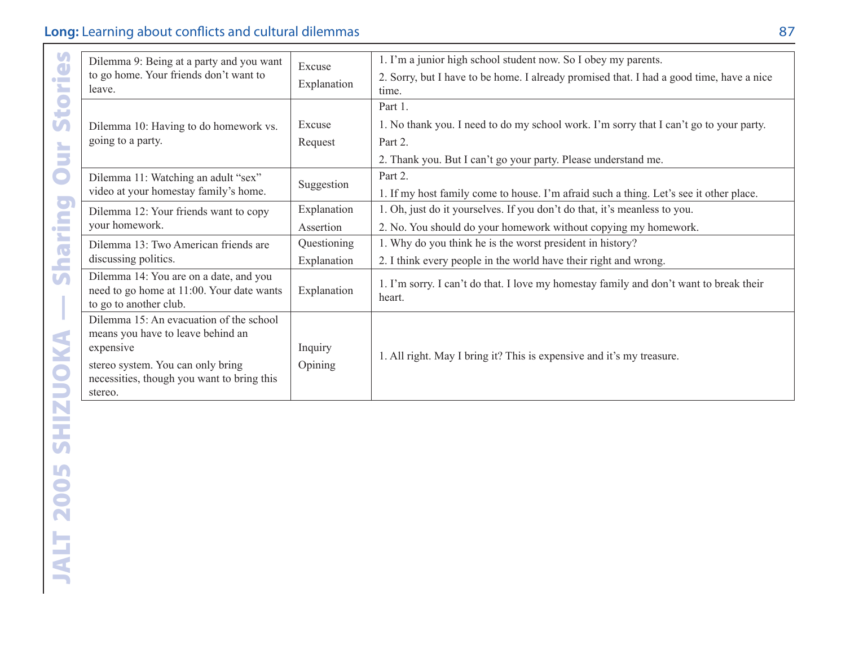| tories                  | Dilemma 9: Being at a party and you want<br>to go home. Your friends don't want to<br>leave.                                                                                            | Excuse<br>Explanation      | 1. I'm a junior high school student now. So I obey my parents.<br>2. Sorry, but I have to be home. I already promised that. I had a good time, have a nice<br>time.            |
|-------------------------|-----------------------------------------------------------------------------------------------------------------------------------------------------------------------------------------|----------------------------|--------------------------------------------------------------------------------------------------------------------------------------------------------------------------------|
| Ū<br>ă                  | Dilemma 10: Having to do homework vs.<br>going to a party.                                                                                                                              | Excuse<br>Request          | Part 1.<br>1. No thank you. I need to do my school work. I'm sorry that I can't go to your party.<br>Part 2.<br>2. Thank you. But I can't go your party. Please understand me. |
| $\overline{\mathbf{C}}$ | Dilemma 11: Watching an adult "sex"<br>video at your homestay family's home.                                                                                                            | Suggestion                 | Part 2.<br>1. If my host family come to house. I'm afraid such a thing. Let's see it other place.                                                                              |
| Sharing                 | Dilemma 12: Your friends want to copy<br>vour homework.                                                                                                                                 | Explanation<br>Assertion   | 1. Oh, just do it yourselves. If you don't do that, it's meanless to you.<br>2. No. You should do your homework without copying my homework.                                   |
|                         | Dilemma 13: Two American friends are<br>discussing politics.                                                                                                                            | Ouestioning<br>Explanation | 1. Why do you think he is the worst president in history?<br>2. I think every people in the world have their right and wrong.                                                  |
| I                       | Dilemma 14: You are on a date, and you<br>need to go home at 11:00. Your date wants<br>to go to another club.                                                                           | Explanation                | 1. I'm sorry. I can't do that. I love my homestay family and don't want to break their<br>heart.                                                                               |
| SHIZUOKA                | Dilemma 15: An evacuation of the school<br>means you have to leave behind an<br>expensive<br>stereo system. You can only bring<br>necessities, though you want to bring this<br>stereo. | Inquiry<br>Opining         | 1. All right. May I bring it? This is expensive and it's my treasure.                                                                                                          |
|                         |                                                                                                                                                                                         |                            |                                                                                                                                                                                |
| <b>2005</b>             |                                                                                                                                                                                         |                            |                                                                                                                                                                                |
| JALT                    |                                                                                                                                                                                         |                            |                                                                                                                                                                                |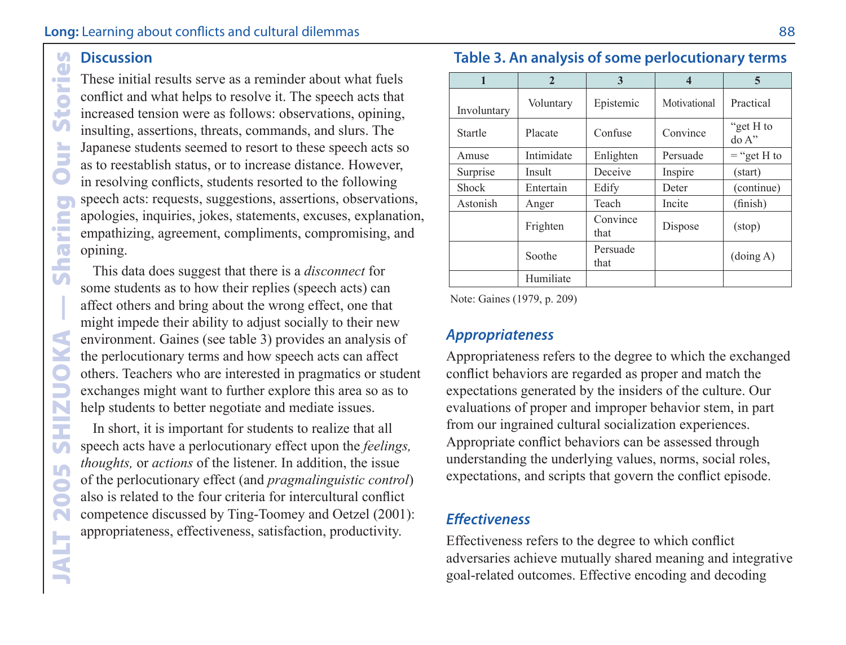#### **Discussion M**  $\Box$

 $\frac{1}{2}$ ×. G œ  $\mathbf{V}$ È

C

**Sharin** 

**UZILY** 

 $\mathbf{U}$ L.

JALT

Discussion<br>These initial<br>conflict and<br>increased ter<br>insulting, ass<br>Japanese stu<br>as to reestab<br>in resolving<br>speech acts:<br>apologies, in<br>empathizing opining.<br>This data come studen<br>affect others<br>might imped<br>environment<br>the per These initial results serve as a reminder about what fuels conflict and what helps to resolve it. The speech acts that increased tension were as follows: observations, opining, insulting, assertions, threats, commands, and slurs. The Japanese students seemed to resort to these speech acts so as to reestablish status, or to increase distance. However, in resolving conflicts, students resorted to the following speech acts: requests, suggestions, assertions, observations, apologies, inquiries, jokes, statements, excuses, explanation, empathizing, agreement, compliments, compromising, and opining.

This data does suggest that there is a *disconnect* for some students as to how their replies (speech acts) can affect others and bring about the wrong effect, one that might impede their ability to adjust socially to their new environment. Gaines (see table 3) provides an analysis of the perlocutionary terms and how speech acts can affect others. Teachers who are interested in pragmatics or student exchanges might want to further explore this area so as to help students to better negotiate and mediate issues.

In short, it is important for students to realize that all speech acts have a perlocutionary effect upon the *feelings, thoughts,* or *actions* of the listener. In addition, the issue of the perlocutionary effect (and *pragmalinguistic control*) also is related to the four criteria for intercultural conflict competence discussed by Ting-Toomey and Oetzel (2001): appropriateness, effectiveness, satisfaction, productivity.

|              | $\mathbf{2}$ | 3                |              | 5                             |
|--------------|--------------|------------------|--------------|-------------------------------|
| Involuntary  | Voluntary    | Epistemic        | Motivational | Practical                     |
| Startle      | Placate      | Confuse          | Convince     | "get H to<br>$d\sigma A$ "    |
| Amuse        | Intimidate   | Enlighten        | Persuade     | $=$ "get H to                 |
| Surprise     | Insult       | Deceive          | Inspire      | (start)                       |
| <b>Shock</b> | Entertain    | Edify            | Deter        | (continue)                    |
| Astonish     | Anger        | Teach            | Incite       | (finish)                      |
|              | Frighten     | Convince<br>that | Dispose      | $(\text{stop})$               |
|              | Soothe       | Persuade<br>that |              | $\left(\text{doing A}\right)$ |
|              | Humiliate    |                  |              |                               |

**Table 3. An analysis of some perlocutionary terms**

Note: Gaines (1979, p. 209)

#### *Appropriateness*

Appropriateness refers to the degree to which the exchanged conflict behaviors are regarded as proper and match the expectations generated by the insiders of the culture. Our evaluations of proper and improper behavior stem, in part from our ingrained cultural socialization experiences. Appropriate conflict behaviors can be assessed through understanding the underlying values, norms, social roles, expectations, and scripts that govern the conflict episode.

#### *Effectiveness*

Effectiveness refers to the degree to which conflict adversaries achieve mutually shared meaning and integrative goal-related outcomes. Effective encoding and decoding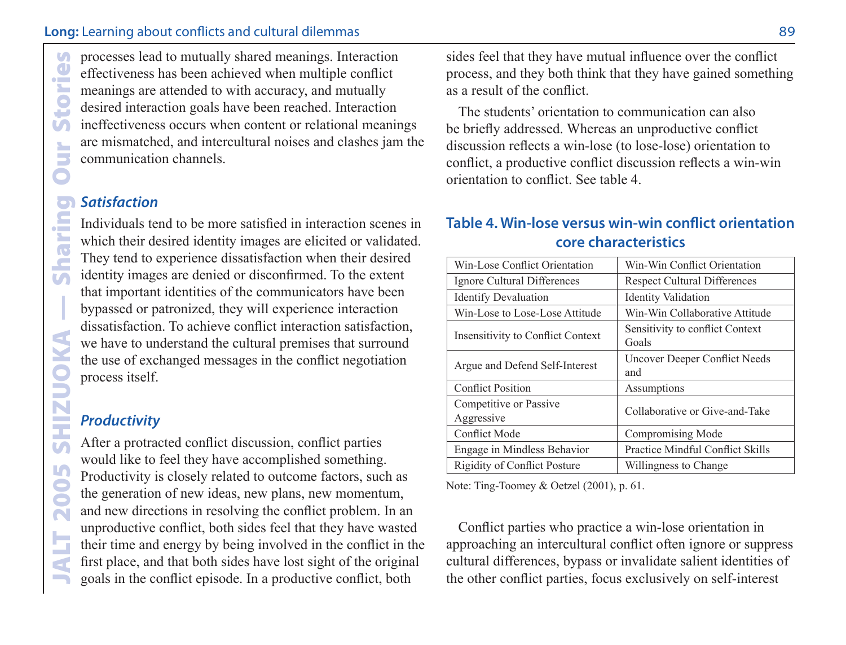effectiveness has been achieved when multiple conflict meanings are attended to with accuracy, and mutually desired interaction goals have been reached. Interaction ineffectiveness occurs when content or relational meanings are mismatched, and intercultural noises and clashes jam the communication channels.

#### *Satisfaction*

processes lead to mutually shared meanings. Interaction<br>
effectiveness has been achieved when multiple conflict<br>
meanings are attended to with accuracy, and mutually<br>
desired interaction goals have been reached. Interactio Individuals tend to be more satisfied in interaction scenes in which their desired identity images are elicited or validated. They tend to experience dissatisfaction when their desired identity images are denied or disconfirmed. To the extent that important identities of the communicators have been bypassed or patronized, they will experience interaction dissatisfaction. To achieve conflict interaction satisfaction, we have to understand the cultural premises that surround the use of exchanged messages in the conflict negotiation process itself.

#### *Productivity*

After a protracted conflict discussion, conflict parties would like to feel they have accomplished something. Productivity is closely related to outcome factors, such as the generation of new ideas, new plans, new momentum, and new directions in resolving the conflict problem. In an unproductive conflict, both sides feel that they have wasted their time and energy by being involved in the conflict in the first place, and that both sides have lost sight of the original goals in the conflict episode. In a productive conflict, both

sides feel that they have mutual influence over the conflict process, and they both think that they have gained something as a result of the conflict.

The students' orientation to communication can also be briefly addressed. Whereas an unproductive conflict discussion reflects a win-lose (to lose-lose) orientation to conflict, a productive conflict discussion reflects a win-win orientation to conflict. See table 4.

#### **Table 4. Win-lose versus win-win conflict orientation core characteristics**

| Win-Lose Conflict Orientation            | Win-Win Conflict Orientation             |
|------------------------------------------|------------------------------------------|
| Ignore Cultural Differences              | <b>Respect Cultural Differences</b>      |
| <b>Identify Devaluation</b>              | <b>Identity Validation</b>               |
| Win-Lose to Lose-Lose Attitude           | Win-Win Collaborative Attitude           |
| <b>Insensitivity to Conflict Context</b> | Sensitivity to conflict Context<br>Goals |
| Argue and Defend Self-Interest           | Uncover Deeper Conflict Needs<br>and     |
| <b>Conflict Position</b>                 | Assumptions                              |
| Competitive or Passive<br>Aggressive     | Collaborative or Give-and-Take           |
| <b>Conflict Mode</b>                     | Compromising Mode                        |
| Engage in Mindless Behavior              | Practice Mindful Conflict Skills         |
| <b>Rigidity of Conflict Posture</b>      | Willingness to Change                    |

Note: Ting-Toomey & Oetzel (2001), p. 61.

Conflict parties who practice a win-lose orientation in approaching an intercultural conflict often ignore or suppress cultural differences, bypass or invalidate salient identities of the other conflict parties, focus exclusively on self-interest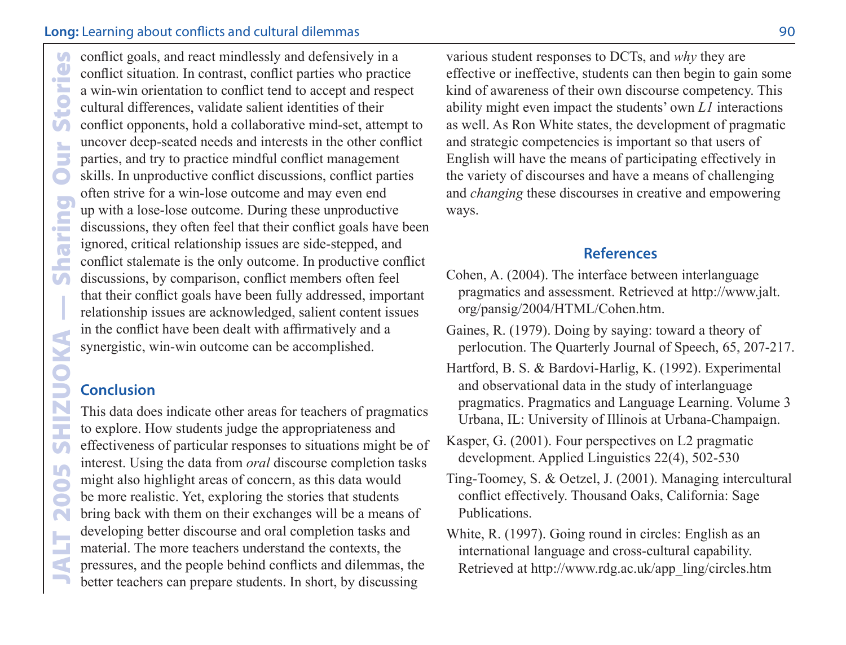conflict goals, and react mindlessly and defensively in a<br>solution and conflict strutation. In contrast, conflict parties who practic<br>at a win-win orientation to conflict tend to accept and respectively<br>conflict opponents, conflict situation. In contrast, conflict parties who practice a win-win orientation to conflict tend to accept and respect cultural differences, validate salient identities of their conflict opponents, hold a collaborative mind-set, attempt to uncover deep-seated needs and interests in the other conflict parties, and try to practice mindful conflict management skills. In unproductive conflict discussions, conflict parties often strive for a win-lose outcome and may even end up with a lose-lose outcome. During these unproductive discussions, they often feel that their conflict goals have been ignored, critical relationship issues are side-stepped, and conflict stalemate is the only outcome. In productive conflict discussions, by comparison, conflict members often feel that their conflict goals have been fully addressed, important relationship issues are acknowledged, salient content issues in the conflict have been dealt with affirmatively and a synergistic, win-win outcome can be accomplished.

#### **Conclusion**

This data does indicate other areas for teachers of pragmatics to explore. How students judge the appropriateness and effectiveness of particular responses to situations might be of interest. Using the data from *oral* discourse completion tasks might also highlight areas of concern, as this data would be more realistic. Yet, exploring the stories that students bring back with them on their exchanges will be a means of developing better discourse and oral completion tasks and material. The more teachers understand the contexts, the pressures, and the people behind conflicts and dilemmas, the better teachers can prepare students. In short, by discussing

various student responses to DCTs, and *why* they are effective or ineffective, students can then begin to gain some kind of awareness of their own discourse competency. This ability might even impact the students' own *L1* interactions as well. As Ron White states, the development of pragmatic and strategic competencies is important so that users of English will have the means of participating effectively in the variety of discourses and have a means of challenging and *changing* these discourses in creative and empowering ways.

#### **References**

- Cohen, A. (2004). The interface between interlanguage pragmatics and assessment. Retrieved at http://www.jalt. org/pansig/2004/HTML/Cohen.htm.
- Gaines, R. (1979). Doing by saying: toward a theory of perlocution. The Quarterly Journal of Speech, 65, 207-217.
- Hartford, B. S. & Bardovi-Harlig, K. (1992). Experimental and observational data in the study of interlanguage pragmatics. Pragmatics and Language Learning. Volume 3 Urbana, IL: University of Illinois at Urbana-Champaign.
- Kasper, G. (2001). Four perspectives on L2 pragmatic development. Applied Linguistics 22(4), 502-530
- Ting-Toomey, S. & Oetzel, J. (2001). Managing intercultural conflict effectively. Thousand Oaks, California: Sage Publications.
- White, R. (1997). Going round in circles: English as an international language and cross-cultural capability. Retrieved at http://www.rdg.ac.uk/app\_ling/circles.htm